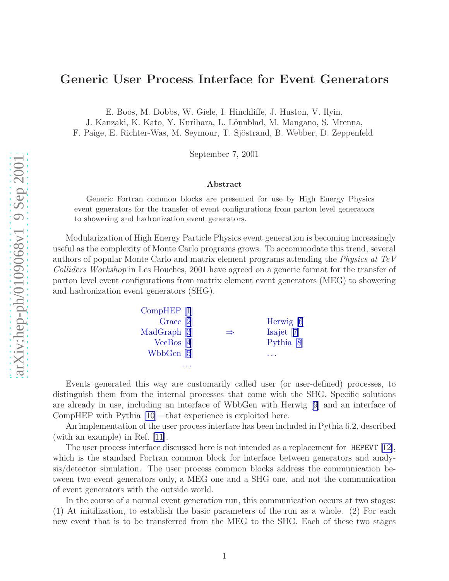## Generic User Process Interface for Event Generators

E. Boos, M. Dobbs, W. Giele, I. Hinchliffe, J. Huston, V. Ilyin ,

J. Kanzaki, K. Kato, Y. Kurihara, L. Lönnblad, M. Mangano, S. Mrenna,

F. Paige, E. Richter-Was, M. Seymour, T. Sjöstrand, B. Webber, D. Zeppenfeld

September 7, 2001

#### Abstract

Generic Fortran common blocks are presented for use by High Energy Physics event generators for the transfer of event configurations from parton level generators to showering and hadronization event generators.

Modularization of High Energy Particle Physics event generation is becoming increasingly useful as the complexity of Monte Carlo programs grows. To accommodate this trend, several authors of popular Monte Carlo and matrix element programs attending the Physics at TeV Colliders Workshop in Les Houches, 2001 have agreed on a generic format for the transfer of parton level event configurations from matrix element event generators (MEG) to showering and hadronization event generators (SHG).

| CompHEP [1]  |               |                       |
|--------------|---------------|-----------------------|
| Grace $[2]$  |               | Herwig $[6]$          |
| MadGraph [3] | $\Rightarrow$ | Isajet $[7]$          |
| $VecBos$ [4] |               | Pythia <sup>[8]</sup> |
| WbbGen $[5]$ |               |                       |
|              |               |                       |

Events generated this way are customarily called user (or user-defined) processes, to distinguish them from the internal processes that come with the SHG. Specific solutions are already in use, including an interface of WbbGen with Herwig [\[9](#page-13-0)] and an interface of CompHEP with Pythia [\[10](#page-13-0)]—that experience is exploited here.

An implementation of the user process interface has been included in Pythia 6.2, described (with an example) in Ref. [\[11](#page-13-0)].

The user process interface discussed here is not intended as a replacement for HEPEVT [[12\]](#page-13-0), which is the standard Fortran common block for interface between generators and analysis/detector simulation. The user process common blocks address the communication between two event generators only, a MEG one and a SHG one, and not the communication of event generators with the outside world.

In the course of a normal event generation run, this communication occurs at two stages: (1) At initilization, to establish the basic parameters of the run as a whole. (2) For each new event that is to be transferred from the MEG to the SHG. Each of these two stages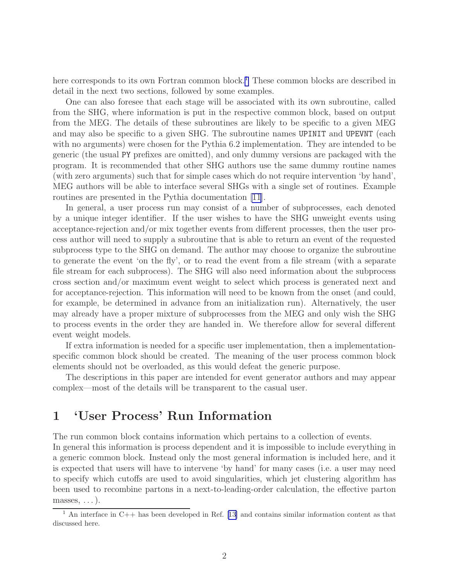here corresponds to its own Fortran common block.<sup>1</sup> These common blocks are described in detail in the next two sections, followed by some examples.

One can also foresee that each stage will be associated with its own subroutine, called from the SHG, where information is put in the respective common block, based on output from the MEG. The details of these subroutines are likely to be specific to a given MEG and may also be specific to a given SHG. The subroutine names UPINIT and UPEVNT (each with no arguments) were chosen for the Pythia 6.2 implementation. They are intended to be generic (the usual PY prefixes are omitted), and only dummy versions are packaged with the program. It is recommended that other SHG authors use the same dummy routine names (with zero arguments) such that for simple cases which do not require intervention 'by hand', MEG authors will be able to interface several SHGs with a single set of routines. Example routines are presented in the Pythia documentation [\[11\]](#page-13-0).

In general, a user process run may consist of a number of subprocesses, each denoted by a unique integer identifier. If the user wishes to have the SHG unweight events using acceptance-rejection and/or mix together events from different processes, then the user process author will need to supply a subroutine that is able to return an event of the requested subprocess type to the SHG on demand. The author may choose to organize the subroutine to generate the event 'on the fly', or to read the event from a file stream (with a separate file stream for each subprocess). The SHG will also need information about the subprocess cross section and/or maximum event weight to select which process is generated next and for acceptance-rejection. This information will need to be known from the onset (and could, for example, be determined in advance from an initialization run). Alternatively, the user may already have a proper mixture of subprocesses from the MEG and only wish the SHG to process events in the order they are handed in. We therefore allow for several different event weight models.

If extra information is needed for a specific user implementation, then a implementationspecific common block should be created. The meaning of the user process common block elements should not be overloaded, as this would defeat the generic purpose.

The descriptions in this paper are intended for event generator authors and may appear complex—most of the details will be transparent to the casual user.

# 1 'User Process' Run Information

The run common block contains information which pertains to a collection of events.

In general this information is process dependent and it is impossible to include everything in a generic common block. Instead only the most general information is included here, and it is expected that users will have to intervene 'by hand' for many cases (i.e. a user may need to specify which cutoffs are used to avoid singularities, which jet clustering algorithm has been used to recombine partons in a next-to-leading-order calculation, the effective parton  $masses, \ldots$ ).

<sup>&</sup>lt;sup>1</sup>An interface in C++ has been developed in Ref. [[13\]](#page-13-0) and contains similar information content as that discussed here.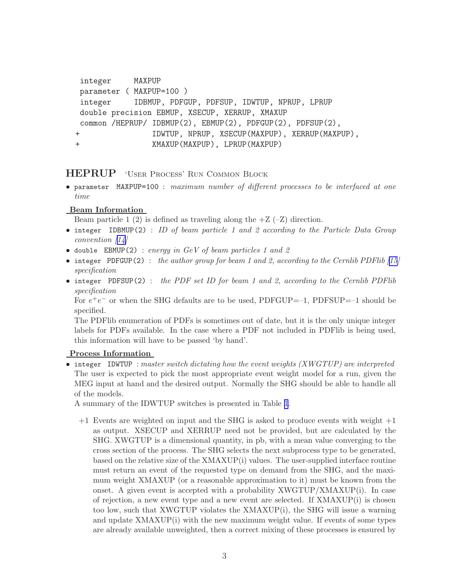```
integer MAXPUP
parameter ( MAXPUP=100 )
integer IDBMUP, PDFGUP, PDFSUP, IDWTUP, NPRUP, LPRUP
double precision EBMUP, XSECUP, XERRUP, XMAXUP
common /HEPRUP/ IDBMUP(2), EBMUP(2), PDFGUP(2), PDFSUP(2),
+ IDWTUP, NPRUP, XSECUP(MAXPUP), XERRUP(MAXPUP),
+ XMAXUP(MAXPUP), LPRUP(MAXPUP)
```
## HEPRUP 'User Process' Run Common Block

• parameter MAXPUP=100 : maximum number of different processes to be interfaced at one time

## Beam Information

Beam particle 1 (2) is defined as traveling along the  $+Z$  ( $-Z$ ) direction.

- integer IDBMUP(2) : ID of beam particle 1 and 2 according to the Particle Data Group convention[[14\]](#page-13-0)
- double EBMUP(2) : energy in  $GeV$  of beam particles 1 and 2
- •integer PDFGUP(2) : the author group for beam 1 and 2, according to the Cernlib PDFlib  $(15)$ specification
- integer PDFSUP(2): the PDF set ID for beam 1 and 2, according to the Cernlib PDFlib specification

For  $e^+e^-$  or when the SHG defaults are to be used, PDFGUP=–1, PDFSUP=–1 should be specified.

The PDFlib enumeration of PDFs is sometimes out of date, but it is the only unique integer labels for PDFs available. In the case where a PDF not included in PDFlib is being used, this information will have to be passed 'by hand'.

## Process Information

• integer IDWTUP : master switch dictating how the event weights  $(XWGTUP)$  are interpreted The user is expected to pick the most appropriate event weight model for a run, given the MEG input at hand and the desired output. Normally the SHG should be able to handle all of the models.

A summary of the IDWTUP switches is presented in Table [1](#page-4-0).

 $+1$  Events are weighted on input and the SHG is asked to produce events with weight  $+1$ as output. XSECUP and XERRUP need not be provided, but are calculated by the SHG. XWGTUP is a dimensional quantity, in pb, with a mean value converging to the cross section of the process. The SHG selects the next subprocess type to be generated, based on the relative size of the XMAXUP(i) values. The user-supplied interface routine must return an event of the requested type on demand from the SHG, and the maximum weight XMAXUP (or a reasonable approximation to it) must be known from the onset. A given event is accepted with a probability XWGTUP/XMAXUP(i). In case of rejection, a new event type and a new event are selected. If  $XMAXUP(i)$  is chosen too low, such that XWGTUP violates the XMAXUP(i), the SHG will issue a warning and update XMAXUP(i) with the new maximum weight value. If events of some types are already available unweighted, then a correct mixing of these processes is ensured by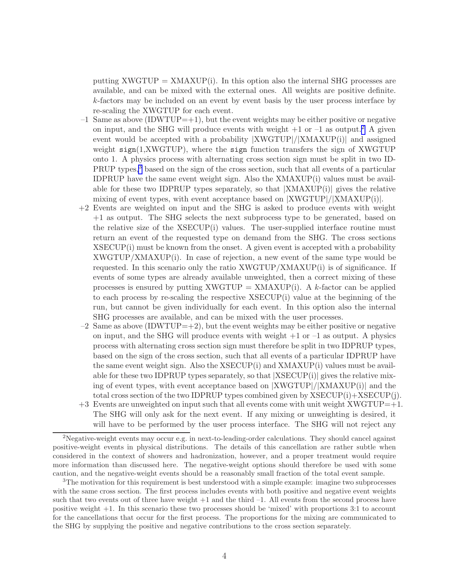putting  $XWGTUP = XMAXUP(i)$ . In this option also the internal SHG processes are available, and can be mixed with the external ones. All weights are positive definite. k-factors may be included on an event by event basis by the user process interface by re-scaling the XWGTUP for each event.

- $-1$  Same as above (IDWTUP=+1), but the event weights may be either positive or negative on input, and the SHG will produce events with weight  $+1$  or  $-1$  as output.<sup>2</sup> A given event would be accepted with a probability |XWGTUP|/|XMAXUP(i)| and assigned weight  $sign(1, XWGTUP)$ , where the sign function transfers the sign of  $XWGTUP$ onto 1. A physics process with alternating cross section sign must be split in two ID-PRUP types,<sup>3</sup> based on the sign of the cross section, such that all events of a particular IDPRUP have the same event weight sign. Also the XMAXUP(i) values must be available for these two IDPRUP types separately, so that  $|XMAXUP(i)|$  gives the relative mixing of event types, with event acceptance based on |XWGTUP|/|XMAXUP(i)|.
- +2 Events are weighted on input and the SHG is asked to produce events with weight +1 as output. The SHG selects the next subprocess type to be generated, based on the relative size of the XSECUP(i) values. The user-supplied interface routine must return an event of the requested type on demand from the SHG. The cross sections XSECUP(i) must be known from the onset. A given event is accepted with a probability  $XWGTUP/XMAXUP(i)$ . In case of rejection, a new event of the same type would be requested. In this scenario only the ratio XWGTUP/XMAXUP(i) is of significance. If events of some types are already available unweighted, then a correct mixing of these processes is ensured by putting  $XWGTUP = XMAXUP(i)$ . A k-factor can be applied to each process by re-scaling the respective XSECUP(i) value at the beginning of the run, but cannot be given individually for each event. In this option also the internal SHG processes are available, and can be mixed with the user processes.
- $-2$  Same as above (IDWTUP=+2), but the event weights may be either positive or negative on input, and the SHG will produce events with weight  $+1$  or  $-1$  as output. A physics process with alternating cross section sign must therefore be split in two IDPRUP types, based on the sign of the cross section, such that all events of a particular IDPRUP have the same event weight sign. Also the  $XSECUP(i)$  and  $XMAXUP(i)$  values must be available for these two IDPRUP types separately, so that  $|XSECUP(i)|$  gives the relative mixing of event types, with event acceptance based on |XWGTUP|/|XMAXUP(i)| and the total cross section of the two IDPRUP types combined given by XSECUP(i)+XSECUP(j).
- $+3$  Events are unweighted on input such that all events come with unit weight XWGTUP= $+1$ . The SHG will only ask for the next event. If any mixing or unweighting is desired, it will have to be performed by the user process interface. The SHG will not reject any

<sup>&</sup>lt;sup>2</sup>Negative-weight events may occur e.g. in next-to-leading-order calculations. They should cancel against positive-weight events in physical distributions. The details of this cancellation are rather subtle when considered in the context of showers and hadronization, however, and a proper treatment would require more information than discussed here. The negative-weight options should therefore be used with some caution, and the negative-weight events should be a reasonably small fraction of the total event sample.

<sup>3</sup>The motivation for this requirement is best understood with a simple example: imagine two subprocesses with the same cross section. The first process includes events with both positive and negative event weights such that two events out of three have weight  $+1$  and the third  $-1$ . All events from the second process have positive weight +1. In this scenario these two processes should be 'mixed' with proportions 3:1 to account for the cancellations that occur for the first process. The proportions for the mixing are communicated to the SHG by supplying the positive and negative contributions to the cross section separately.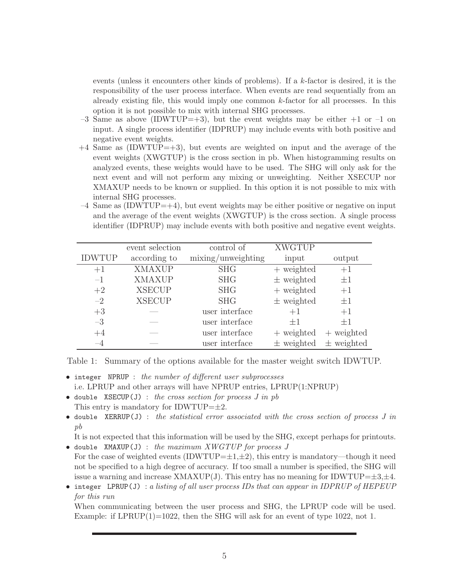<span id="page-4-0"></span>events (unless it encounters other kinds of problems). If a k-factor is desired, it is the responsibility of the user process interface. When events are read sequentially from an already existing file, this would imply one common  $k$ -factor for all processes. In this option it is not possible to mix with internal SHG processes.

- $-3$  Same as above (IDWTUP=+3), but the event weights may be either  $+1$  or  $-1$  on input. A single process identifier (IDPRUP) may include events with both positive and negative event weights.
- $+4$  Same as (IDWTUP= $+3$ ), but events are weighted on input and the average of the event weights (XWGTUP) is the cross section in pb. When histogramming results on analyzed events, these weights would have to be used. The SHG will only ask for the next event and will not perform any mixing or unweighting. Neither XSECUP nor XMAXUP needs to be known or supplied. In this option it is not possible to mix with internal SHG processes.
- $-4$  Same as (IDWTUP= $+4$ ), but event weights may be either positive or negative on input and the average of the event weights (XWGTUP) is the cross section. A single process identifier (IDPRUP) may include events with both positive and negative event weights.

|               | event selection | control of         | <b>XWGTUP</b>  |                |
|---------------|-----------------|--------------------|----------------|----------------|
| <b>IDWTUP</b> | according to    | mixing/unweighting | input          | output         |
| $+1$          | <b>XMAXUP</b>   | <b>SHG</b>         | $+$ weighted   | $+1$           |
| $-1$          | <b>XMAXUP</b>   | <b>SHG</b>         | $\pm$ weighted | $\pm 1$        |
| $+2$          | <b>XSECUP</b>   | <b>SHG</b>         | $+$ weighted   | $+1$           |
| $-2$          | <b>XSECUP</b>   | <b>SHG</b>         | $\pm$ weighted | $\pm 1$        |
| $+3$          |                 | user interface     | $+1$           | $+1$           |
| $-3$          |                 | user interface     | $+1$           | $+1$           |
| $+4$          |                 | user interface     | $+$ weighted   | $+$ weighted   |
|               |                 | user interface     | $\pm$ weighted | $\pm$ weighted |

Table 1: Summary of the options available for the master weight switch IDWTUP.

- integer NPRUP : the number of different user subprocesses i.e. LPRUP and other arrays will have NPRUP entries, LPRUP(1:NPRUP)
- double XSECUP(J) : the cross section for process  $J$  in  $pb$ This entry is mandatory for IDWTUP= $\pm 2$ .
- double XERRUP(J) : the statistical error associated with the cross section of process  $J$  in pb

It is not expected that this information will be used by the SHG, except perhaps for printouts. • double XMAXUP(J) : the maximum XWGTUP for process  $J$ 

- For the case of weighted events (IDWTUP= $\pm 1, \pm 2$ ), this entry is mandatory—though it need not be specified to a high degree of accuracy. If too small a number is specified, the SHG will issue a warning and increase  $XMAXUP(J)$ . This entry has no meaning for IDWTUP= $\pm 3,\pm 4$ .
- integer LPRUP(J) : a listing of all user process IDs that can appear in IDPRUP of HEPEUP for this run

When communicating between the user process and SHG, the LPRUP code will be used. Example: if  $LPRUP(1)=1022$ , then the SHG will ask for an event of type 1022, not 1.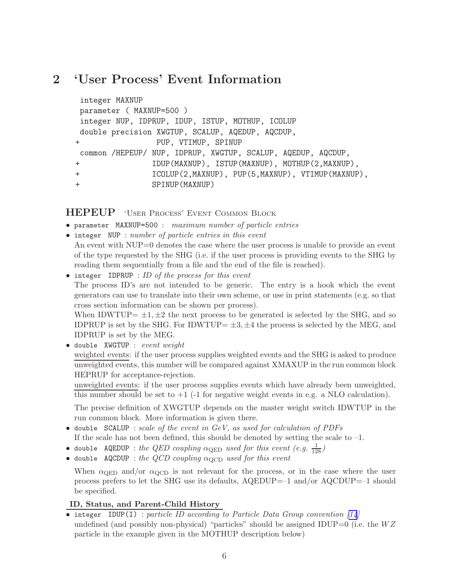# 2 'User Process' Event Information

```
integer MAXNUP
parameter ( MAXNUP=500 )
integer NUP, IDPRUP, IDUP, ISTUP, MOTHUP, ICOLUP
double precision XWGTUP, SCALUP, AQEDUP, AQCDUP,
+ PUP, VTIMUP, SPINUP
common /HEPEUP/ NUP, IDPRUP, XWGTUP, SCALUP, AQEDUP, AQCDUP,
+ IDUP(MAXNUP), ISTUP(MAXNUP), MOTHUP(2,MAXNUP),
+ ICOLUP(2,MAXNUP), PUP(5,MAXNUP), VTIMUP(MAXNUP),
+ SPINUP(MAXNUP)
```
HEPEUP 'User Process' Event Common Block

- parameter MAXNUP=500 : maximum number of particle entries
- integer NUP : number of particle entries in this event

An event with NUP=0 denotes the case where the user process is unable to provide an event of the type requested by the SHG (i.e. if the user process is providing events to the SHG by reading them sequentially from a file and the end of the file is reached).

 $\bullet$  integer IDPRUP : ID of the process for this event The process ID's are not intended to be generic. The entry is a hook which the event generators can use to translate into their own scheme, or use in print statements (e.g. so that cross section information can be shown per process).

When IDWTUP=  $\pm 1, \pm 2$  the next process to be generated is selected by the SHG, and so IDPRUP is set by the SHG. For IDWTUP=  $\pm 3, \pm 4$  the process is selected by the MEG, and IDPRUP is set by the MEG.

• double XWGTUP : event weight weighted events: if the user process supplies weighted events and the SHG is asked to produce unweighted events, this number will be compared against XMAXUP in the run common block HEPRUP for acceptance-rejection.

unweighted events: if the user process supplies events which have already been unweighted, this number should be set to  $+1$  (-1 for negative weight events in e.g. a NLO calculation).

The precise definition of XWGTUP depends on the master weight switch IDWTUP in the run common block. More information is given there.

- double SCALUP : scale of the event in  $GeV$ , as used for calculation of PDFs If the scale has not been defined, this should be denoted by setting the scale to  $-1$ .
- double AQEDUP : the QED coupling  $\alpha_{\rm QED}$  used for this event  $(e.g.~\frac{1}{128})$
- double AQCDUP : the QCD coupling  $\alpha_{\text{QCD}}$  used for this event

When  $\alpha_{\text{QED}}$  and/or  $\alpha_{\text{QCD}}$  is not relevant for the process, or in the case where the user process prefers to let the SHG use its defaults, AQEDUP=–1 and/or AQCDUP=–1 should be specified.

## ID, Status, and Parent-Child History

• integer IDUP(I) : particle ID according to Particle Data Group convention  $\lceil 14 \rceil$ undefined (and possibly non-physical) "particles" should be assigned IDUP=0 (i.e. the  $WZ$ particle in the example given in the MOTHUP description below)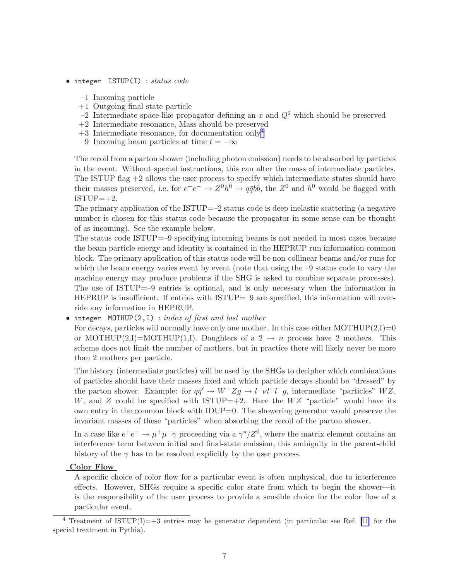- integer ISTUP(I) : status code
	- –1 Incoming particle
	- +1 Outgoing final state particle
	- $-2$  Intermediate space-like propagator defining an x and  $Q<sup>2</sup>$  which should be preserved
	- +2 Intermediate resonance, Mass should be preserved
	- $+3$  Intermediate resonance, for documentation only<sup>4</sup>
	- –9 Incoming beam particles at time  $t = -\infty$

The recoil from a parton shower (including photon emission) needs to be absorbed by particles in the event. Without special instructions, this can alter the mass of intermediate particles. The ISTUP flag  $+2$  allows the user process to specify which intermediate states should have their masses preserved, i.e. for  $e^+e^- \to Z^0 h^0 \to q\bar{q}b\bar{b}$ , the  $Z^0$  and  $h^0$  would be flagged with  $ISTUP=+2.$ 

The primary application of the ISTUP=–2 status code is deep inelastic scattering (a negative number is chosen for this status code because the propagator in some sense can be thought of as incoming). See the example below.

The status code ISTUP=–9 specifying incoming beams is not needed in most cases because the beam particle energy and identity is contained in the HEPRUP run information common block. The primary application of this status code will be non-collinear beams and/or runs for which the beam energy varies event by event (note that using the  $-9$  status code to vary the machine energy may produce problems if the SHG is asked to combine separate processes). The use of ISTUP=–9 entries is optional, and is only necessary when the information in HEPRUP is insufficient. If entries with ISTUP=–9 are specified, this information will override any information in HEPRUP.

#### • integer MOTHUP(2,I) : index of first and last mother

For decays, particles will normally have only one mother. In this case either MOTHUP $(2,I)=0$ or MOTHUP(2,I)=MOTHUP(1,I). Daughters of a 2  $\rightarrow$  n process have 2 mothers. This scheme does not limit the number of mothers, but in practice there will likely never be more than 2 mothers per particle.

The history (intermediate particles) will be used by the SHGs to decipher which combinations of particles should have their masses fixed and which particle decays should be "dressed" by the parton shower. Example: for  $q\bar{q}' \to W^- Z g \to l\bar{l} \nu l^+ l^- g$ , intermediate "particles"  $WZ$ , W, and Z could be specified with ISTUP=+2. Here the  $WZ$  "particle" would have its own entry in the common block with IDUP=0. The showering generator would preserve the invariant masses of these "particles" when absorbing the recoil of the parton shower.

In a case like  $e^+e^- \to \mu^+\mu^-\gamma$  proceeding via a  $\gamma^*/Z^0$ , where the matrix element contains an interference term between initial and final-state emission, this ambiguity in the parent-child history of the  $\gamma$  has to be resolved explicitly by the user process.

#### Color Flow

A specific choice of color flow for a particular event is often unphysical, due to interference effects. However, SHGs require a specific color state from which to begin the shower—it is the responsibility of the user process to provide a sensible choice for the color flow of a particular event.

<sup>&</sup>lt;sup>4</sup>Treatment of ISTUP(I)=+3 entries may be generator dependent (in particular see Ref. [[11\]](#page-13-0) for the special treatment in Pythia).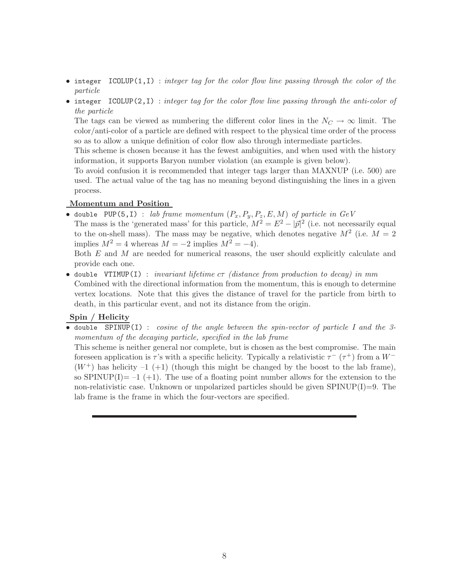- integer  $ICOLUP(1, I)$  : integer tag for the color flow line passing through the color of the particle
- integer  $ICOLUP(2, I)$  : integer tag for the color flow line passing through the anti-color of the particle

The tags can be viewed as numbering the different color lines in the  $N_C \to \infty$  limit. The color/anti-color of a particle are defined with respect to the physical time order of the process so as to allow a unique definition of color flow also through intermediate particles.

This scheme is chosen because it has the fewest ambiguities, and when used with the history information, it supports Baryon number violation (an example is given below).

To avoid confusion it is recommended that integer tags larger than MAXNUP (i.e. 500) are used. The actual value of the tag has no meaning beyond distinguishing the lines in a given process.

## Momentum and Position

• double PUP(5,I) : lab frame momentum  $(P_x, P_y, P_z, E, M)$  of particle in  $GeV$ 

The mass is the 'generated mass' for this particle,  $M^2 = E^2 - |\vec{p}|^2$  (i.e. not necessarily equal to the on-shell mass). The mass may be negative, which denotes negative  $M^2$  (i.e.  $M = 2$ implies  $M^2 = 4$  whereas  $M = -2$  implies  $M^2 = -4$ ).

Both E and M are needed for numerical reasons, the user should explicitly calculate and provide each one.

• double VTIMUP(I) : invariant lifetime  $c\tau$  (distance from production to decay) in mm Combined with the directional information from the momentum, this is enough to determine vertex locations. Note that this gives the distance of travel for the particle from birth to death, in this particular event, and not its distance from the origin.

## Spin / Helicity

• double SPINUP(I) : cosine of the angle between the spin-vector of particle I and the 3momentum of the decaying particle, specified in the lab frame

This scheme is neither general nor complete, but is chosen as the best compromise. The main foreseen application is  $\tau$ 's with a specific helicity. Typically a relativistic  $\tau^{-}$  ( $\tau^{+}$ ) from a  $W^{-}$  $(W^+)$  has helicity  $-1$  (+1) (though this might be changed by the boost to the lab frame), so SPINUP(I)=  $-1$  (+1). The use of a floating point number allows for the extension to the non-relativistic case. Unknown or unpolarized particles should be given  $SPINUP(I)=9$ . The lab frame is the frame in which the four-vectors are specified.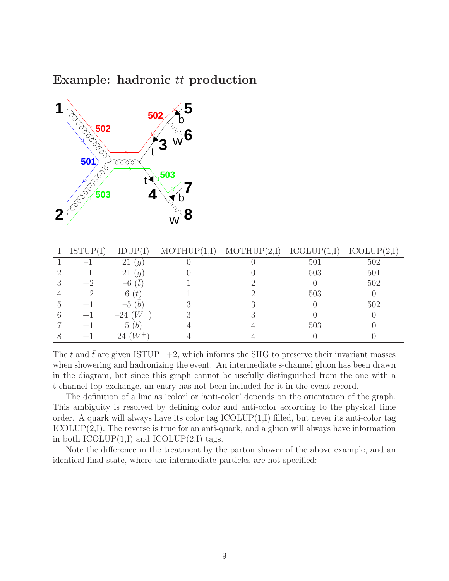# Example: hadronic  $t\bar{t}$  production



| ISTUP( | IDUP(                   | <b>MOTHU</b> | MOTHUP(<br>(2,I | <b>ICOLUP</b> | ICOLUP(<br>$(2,\Gamma)$ |
|--------|-------------------------|--------------|-----------------|---------------|-------------------------|
| — 1    | 21<br>$\left( q\right)$ |              |                 | 501           | 502                     |
| $-1$   | 21<br>$\overline{q}$    |              |                 | 503           | 501                     |
| $+2$   | $-6(t)$                 |              |                 |               | 502                     |
| $+2$   | 6(t)                    |              |                 | 503           |                         |
| $+1$   | $-5(b)$                 |              |                 |               | 502                     |
| $+1$   | $-24$ $(W^-)$           |              |                 |               |                         |
| $+1$   | 5(b)                    |              |                 | 503           |                         |
|        | $W^+$<br>24             |              |                 |               |                         |

The t and  $\bar{t}$  are given ISTUP=+2, which informs the SHG to preserve their invariant masses when showering and hadronizing the event. An intermediate s-channel gluon has been drawn in the diagram, but since this graph cannot be usefully distinguished from the one with a t-channel top exchange, an entry has not been included for it in the event record.

The definition of a line as 'color' or 'anti-color' depends on the orientation of the graph. This ambiguity is resolved by defining color and anti-color according to the physical time order. A quark will always have its color tag  $ICOLUP(1,I)$  filled, but never its anti-color tag  $ICOLUP(2,I)$ . The reverse is true for an anti-quark, and a gluon will always have information in both  $ICOLUP(1,I)$  and  $ICOLUP(2,I)$  tags.

Note the difference in the treatment by the parton shower of the above example, and an identical final state, where the intermediate particles are not specified: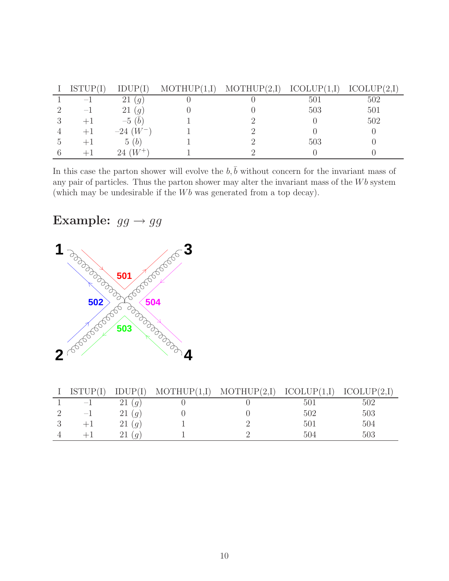|    | ISTUP(                   | IDHP/I               | MOTHUP(1,I) | MOTHUP(2,I) | ICOLUP(1,I) | ICOLUP(2,I) |
|----|--------------------------|----------------------|-------------|-------------|-------------|-------------|
|    | $\overline{\phantom{a}}$ | 21<br>$\mathcal{G}$  |             |             | 501         | 502         |
|    |                          | 21<br>$\overline{g}$ |             |             | 503         | 501         |
| ., |                          | $-5(b)$              |             |             |             | 502         |
|    | $+1$                     | $-24$ $(W^-)$        |             |             |             |             |
|    | $+1$                     | 5(b)                 |             |             | 503         |             |
|    |                          | $W^+$<br>24          |             |             |             |             |

In this case the parton shower will evolve the  $b, \bar{b}$  without concern for the invariant mass of any pair of particles. Thus the parton shower may alter the invariant mass of the  $Wb$  system (which may be undesirable if the  $Wb$  was generated from a top decay).

# Example:  $gg \rightarrow gg$



| ISTUP(I)                 | IDUP(I)             | MOTHUP(1,I) | MOTHUP(2,I) | ICOLUP(1,I)     | ICOLUP(2,I) |
|--------------------------|---------------------|-------------|-------------|-----------------|-------------|
| $\overline{\phantom{m}}$ | 21<br>$\mathcal{G}$ |             |             | 50 <sub>1</sub> | 502         |
| $^{-1}$                  | 21<br>(g)           |             |             | 502             | 503         |
| $+1$                     | 21<br>(g)           |             |             | 501             | 504         |
|                          | $\overline{g}$      |             |             | 504             | 503         |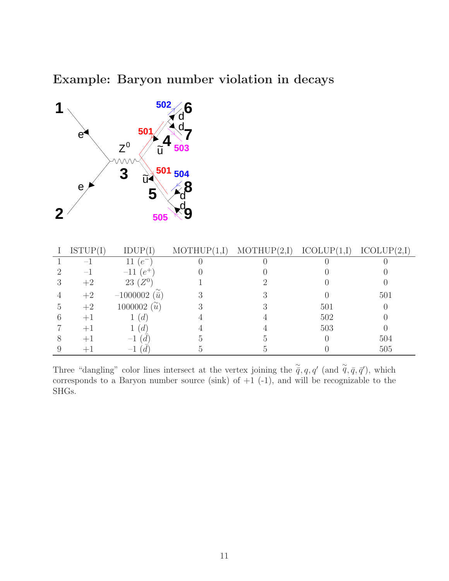# Example: Baryon number violation in decays



| ISTUP(I) | IDUP(I)                   | MOTHUP(1,I) | MOTHUP(2,I) | ICOLUP(1,I) | ICOLUP(2,I) |
|----------|---------------------------|-------------|-------------|-------------|-------------|
|          | $e^-$                     |             |             |             |             |
| $-1$     | $-11$ ( $e^+$ )           |             |             |             |             |
| $+2$     | $23~(Z^0)$                |             |             |             |             |
| $+2$     | $-1000002$<br>$(\bar{u})$ |             |             |             | 501         |
| $+2$     | 1000002 $(\tilde{u})$     |             |             | 501         |             |
| $+1$     | $\overline{d}$            |             |             | 502         |             |
|          | d                         |             |             | 503         |             |
|          | $-1$ .<br>d               |             |             |             | 504         |
|          | $-1$                      |             |             |             | 505         |

Three "dangling" color lines intersect at the vertex joining the  $\tilde{\vec{q}}$ , q, q' (and  $\tilde{\vec{q}}$ ,  $\vec{q}$ ,  $\vec{q}'$ ), which corresponds to a Baryon number source (sink) of  $+1$  (-1), and will be recognizable to the SHGs.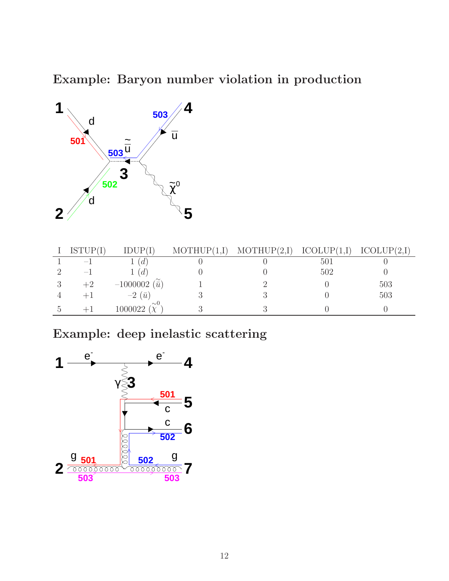Example: Baryon number violation in production



| <b>ISTUP</b>             |                           | MOTHUP(1,I) | MOTHUP(2,I) | ICOLUP(1,I) | ICOLUP(2,I) |
|--------------------------|---------------------------|-------------|-------------|-------------|-------------|
| $\overline{\phantom{0}}$ | $\mathfrak{a}$            |             |             | 501         |             |
|                          | $\mathfrak{a}$            |             |             | 502         |             |
| $+2$                     | $-1000002$<br>$(\bar{u},$ |             |             |             | 503         |
| $+1$                     | $-2(\bar{u})$             |             |             |             | 503         |
|                          | $\sim 0$<br>1000022       |             |             |             |             |

Example: deep inelastic scattering

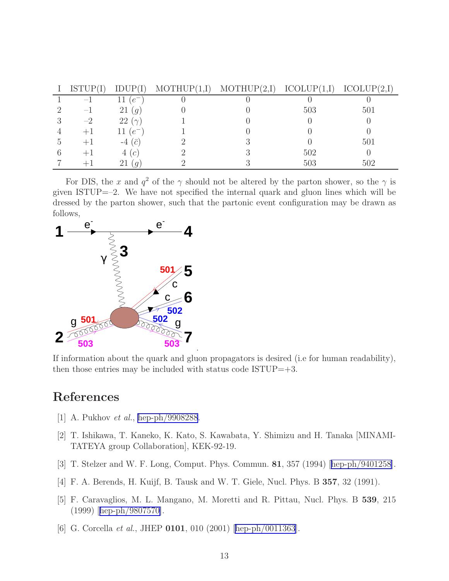<span id="page-12-0"></span>

| ISTUP(I)                 | IDUP(I)              | MOTHUP(1,I) | MOTHUP(2,I) | ICOLUP(1,I) | ICOLUP(2,I) |
|--------------------------|----------------------|-------------|-------------|-------------|-------------|
|                          | $e^-$                |             |             |             |             |
| $\overline{\phantom{0}}$ | 21<br>$\overline{q}$ |             |             | 503         | 501         |
| $-2$                     | 22 $(\gamma)$        |             |             |             |             |
|                          | $(e^-$<br>11.        |             |             |             |             |
|                          | $-4\ (\bar{c})$      |             |             |             | 501         |
|                          | 4(c)                 |             |             | 502         |             |
|                          | $\mathfrak{q}$       |             |             | 503         | 502         |

For DIS, the x and  $q^2$  of the  $\gamma$  should not be altered by the parton shower, so the  $\gamma$  is given ISTUP=–2. We have not specified the internal quark and gluon lines which will be dressed by the parton shower, such that the partonic event configuration may be drawn as follows,



If information about the quark and gluon propagators is desired (i.e for human readability), then those entries may be included with status code  $ISTUP = +3$ .

# References

- [1] A. Pukhov et al., [hep-ph/9908288](http://arXiv.org/abs/hep-ph/9908288).
- [2] T. Ishikawa, T. Kaneko, K. Kato, S. Kawabata, Y. Shimizu and H. Tanaka [MINAMI-TATEYA group Collaboration], KEK-92-19.
- [3] T. Stelzer and W. F. Long, Comput. Phys. Commun. 81, 357 (1994)[[hep-ph/9401258\]](http://arXiv.org/abs/hep-ph/9401258).
- [4] F. A. Berends, H. Kuijf, B. Tausk and W. T. Giele, Nucl. Phys. B 357, 32 (1991).
- [5] F. Caravaglios, M. L. Mangano, M. Moretti and R. Pittau, Nucl. Phys. B 539, 215 (1999)[[hep-ph/9807570\]](http://arXiv.org/abs/hep-ph/9807570).
- [6]G. Corcella et al., JHEP **0101**, 010 (2001) [[hep-ph/0011363](http://arXiv.org/abs/hep-ph/0011363)].